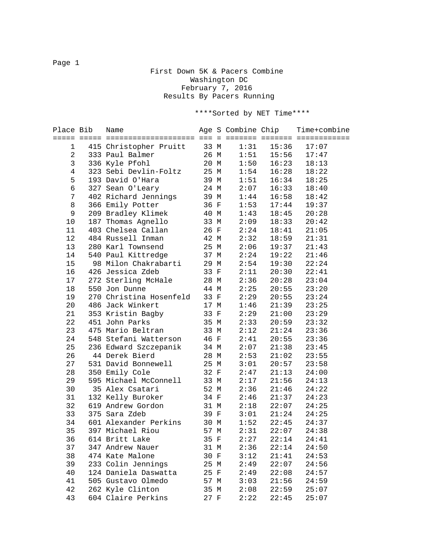## First Down 5K & Pacers Combine Washington DC February 7, 2016 Results By Pacers Running

\*\*\*\*Sorted by NET Time\*\*\*\*

| Place Bib      | Name                         |      |      |       | Age S Combine Chip Time+combine |
|----------------|------------------------------|------|------|-------|---------------------------------|
| 1              | 415 Christopher Pruitt 33 M  |      | 1:31 | 15:36 | 17:07                           |
| 2              | 26 M<br>333 Paul Balmer      |      | 1:51 | 15:56 | 17:47                           |
| 3              | 336 Kyle Pfohl               | 20 M | 1:50 | 16:23 | 18:13                           |
| $\overline{4}$ | 323 Sebi Devlin-Foltz 25 M   |      | 1:54 | 16:28 | 18:22                           |
| 5              | 193 David O'Hara             | 39 M | 1:51 | 16:34 | 18:25                           |
| 6              | 327 Sean O'Leary             | 24 M | 2:07 | 16:33 | 18:40                           |
| 7              | 402 Richard Jennings 39 M    |      | 1:44 | 16:58 | 18:42                           |
| 8              | 366 Emily Potter             | 36 F | 1:53 | 17:44 | 19:37                           |
| 9              | 209 Bradley Klimek 40 M      |      | 1:43 | 18:45 | 20:28                           |
| 10             | 187 Thomas Agnello           | 33 M | 2:09 | 18:33 | 20:42                           |
| 11             | 403 Chelsea Callan           | 26 F | 2:24 | 18:41 | 21:05                           |
| 12             | 484 Russell Inman            | 42 M | 2:32 | 18:59 | 21:31                           |
| 13             | 280 Karl Townsend            | 25 M | 2:06 | 19:37 | 21:43                           |
| 14             | 540 Paul Kittredge           | 37 M | 2:24 | 19:22 | 21:46                           |
| 15             | 98 Milon Chakrabarti 29 M    |      | 2:54 | 19:30 | 22:24                           |
| 16             | 426 Jessica Zdeb             | 33 F | 2:11 | 20:30 | 22:41                           |
| 17             | 272 Sterling McHale 28 M     |      | 2:36 | 20:28 | 23:04                           |
| 18             | 550 Jon Dunne                | 44 M | 2:25 | 20:55 | 23:20                           |
| 19             | 270 Christina Hosenfeld 33 F |      | 2:29 | 20:55 | 23:24                           |
| 20             | 486 Jack Winkert             | 17 M | 1:46 | 21:39 | 23:25                           |
| 21             | 353 Kristin Bagby            | 33 F | 2:29 | 21:00 | 23:29                           |
| 22             | 451 John Parks               | 35 M | 2:33 | 20:59 | 23:32                           |
| 23             | 475 Mario Beltran            | 33 M | 2:12 | 21:24 | 23:36                           |
| 24             | 548 Stefani Watterson        | 46 F | 2:41 | 20:55 | 23:36                           |
| 25             | 236 Edward Szczepanik 34 M   |      | 2:07 | 21:38 | 23:45                           |
| 26             | 44 Derek Bierd               | 28 M | 2:53 | 21:02 | 23:55                           |
| 27             | 531 David Bonnewell          | 25 M | 3:01 | 20:57 | 23:58                           |
| 28             | 350 Emily Cole               | 32 F | 2:47 | 21:13 | 24:00                           |
| 29             | 595 Michael McConnell 33 M   |      | 2:17 | 21:56 | 24:13                           |
| 30             | 35 Alex Csatari              | 52 M | 2:36 | 21:46 | 24:22                           |
| 31             | 132 Kelly Buroker            | 34 F | 2:46 | 21:37 | 24:23                           |
| 32             | 619 Andrew Gordon            | 31 M | 2:18 | 22:07 | 24:25                           |
| 33             | 375 Sara Zdeb                | 39 F | 3:01 | 21:24 | 24:25                           |
| 34             | 601 Alexander Perkins 30 M   |      | 1:52 | 22:45 | 24:37                           |
| 35             | 397 Michael Riou             | 57 M | 2:31 |       | $22:07$ $24:38$                 |
|                | 36 614 Britt Lake 35 F       |      | 2:27 |       | $22:14$ $24:41$                 |
| 37             | 347 Andrew Nauer             | 31 M | 2:36 | 22:14 | 24:50                           |
| 38             | 474 Kate Malone              | 30 F | 3:12 | 21:41 | 24:53                           |
| 39             | 233 Colin Jennings           | 25 M | 2:49 | 22:07 | 24:56                           |
| 40             | 124 Daniela Daswatta         | 25 F | 2:49 | 22:08 | 24:57                           |
| 41             | 505 Gustavo Olmedo           | 57 M | 3:03 | 21:56 | 24:59                           |
| 42             | 262 Kyle Clinton             | 35 M | 2:08 | 22:59 | 25:07                           |
| 43             | 604 Claire Perkins           | 27 F | 2:22 | 22:45 | 25:07                           |

Page 1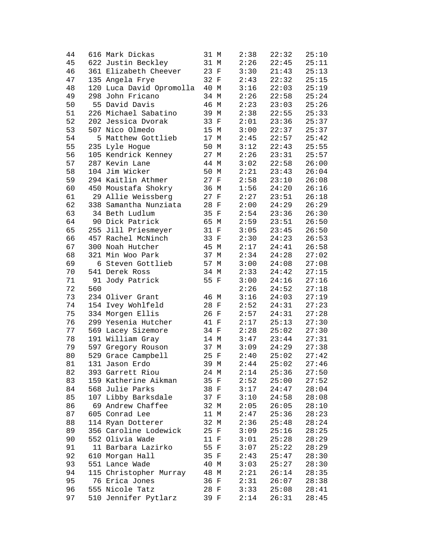| 44 |     | 616 Mark Dickas          | 31 M |             | 2:38 | 22:32 | 25:10 |
|----|-----|--------------------------|------|-------------|------|-------|-------|
| 45 |     | 622 Justin Beckley       | 31 M |             | 2:26 | 22:45 | 25:11 |
| 46 |     | 361 Elizabeth Cheever    | 23 F |             | 3:30 | 21:43 | 25:13 |
| 47 |     | 135 Angela Frye          | 32 F |             | 2:43 | 22:32 | 25:15 |
| 48 |     | 120 Luca David Opromolla | 40 M |             | 3:16 | 22:03 | 25:19 |
| 49 |     | 298 John Fricano         | 34 M |             | 2:26 | 22:58 | 25:24 |
| 50 |     | 55 David Davis           | 46 M |             | 2:23 | 23:03 | 25:26 |
| 51 |     | 226 Michael Sabatino     | 39 M |             | 2:38 | 22:55 | 25:33 |
| 52 |     | 202 Jessica Dvorak       | 33 F |             | 2:01 | 23:36 | 25:37 |
| 53 |     | 507 Nico Olmedo          | 15 M |             | 3:00 | 22:37 | 25:37 |
| 54 |     | 5 Matthew Gottlieb       | 17 M |             | 2:45 | 22:57 | 25:42 |
| 55 |     | 235 Lyle Hogue           | 50 M |             | 3:12 | 22:43 | 25:55 |
| 56 |     | 105 Kendrick Kenney      | 27 M |             | 2:26 | 23:31 | 25:57 |
| 57 |     | 287 Kevin Lane           | 44 M |             | 3:02 | 22:58 | 26:00 |
| 58 |     | 104 Jim Wicker           | 50 M |             | 2:21 | 23:43 | 26:04 |
| 59 |     | 294 Kaitlin Athmer       | 27 F |             | 2:58 | 23:10 | 26:08 |
| 60 |     | 450 Moustafa Shokry      | 36 M |             | 1:56 | 24:20 | 26:16 |
| 61 |     | 29 Allie Weissberg       | 27 F |             | 2:27 | 23:51 | 26:18 |
| 62 |     |                          | 28 F |             | 2:00 |       |       |
|    |     | 338 Samantha Nunziata    | 35 F |             |      | 24:29 | 26:29 |
| 63 |     | 34 Beth Ludlum           |      |             | 2:54 | 23:36 | 26:30 |
| 64 |     | 90 Dick Patrick          | 65 M |             | 2:59 | 23:51 | 26:50 |
| 65 |     | 255 Jill Priesmeyer      | 31 F |             | 3:05 | 23:45 | 26:50 |
| 66 |     | 457 Rachel McNinch       | 33 F |             | 2:30 | 24:23 | 26:53 |
| 67 |     | 300 Noah Hutcher         | 45 M |             | 2:17 | 24:41 | 26:58 |
| 68 |     | 321 Min Woo Park         | 37 M |             | 2:34 | 24:28 | 27:02 |
| 69 |     | 6 Steven Gottlieb        | 57 M |             | 3:00 | 24:08 | 27:08 |
| 70 |     | 541 Derek Ross           | 34 M |             | 2:33 | 24:42 | 27:15 |
| 71 |     | 91 Jody Patrick          | 55 F |             | 3:00 | 24:16 | 27:16 |
| 72 | 560 |                          |      |             | 2:26 | 24:52 | 27:18 |
| 73 |     | 234 Oliver Grant         | 46 M |             | 3:16 | 24:03 | 27:19 |
| 74 |     | 154 Ivey Wohlfeld        | 28 F |             | 2:52 | 24:31 | 27:23 |
| 75 |     | 334 Morgen Ellis         | 26 F |             | 2:57 | 24:31 | 27:28 |
| 76 |     | 299 Yesenia Hutcher      | 41 F |             | 2:17 | 25:13 | 27:30 |
| 77 |     | 569 Lacey Sizemore       | 34 F |             | 2:28 | 25:02 | 27:30 |
| 78 |     | 191 William Gray         | 14 M |             | 3:47 | 23:44 | 27:31 |
| 79 |     | 597 Gregory Rouson       | 37 M |             | 3:09 | 24:29 | 27:38 |
| 80 |     | 529 Grace Campbell       | 25 F |             | 2:40 | 25:02 | 27:42 |
| 81 |     | 131 Jason Erdo           | 39 M |             | 2:44 | 25:02 | 27:46 |
| 82 |     | 393 Garrett Riou         | 24 M |             | 2:14 | 25:36 | 27:50 |
| 83 |     | 159 Katherine Aikman     | 35 F |             | 2:52 | 25:00 | 27:52 |
| 84 |     | 568 Julie Parks          | 38 F |             | 3:17 | 24:47 | 28:04 |
| 85 |     | 107 Libby Barksdale      | 37 F |             | 3:10 | 24:58 | 28:08 |
| 86 |     | 69 Andrew Chaffee        | 32 M |             | 2:05 | 26:05 | 28:10 |
| 87 |     | 605 Conrad Lee           | 11 M |             | 2:47 | 25:36 | 28:23 |
| 88 |     | 114 Ryan Dotterer        | 32 M |             | 2:36 | 25:48 | 28:24 |
| 89 |     | 356 Caroline Lodewick    | 25 F |             | 3:09 | 25:16 | 28:25 |
| 90 |     | 552 Olivia Wade          | 11 F |             | 3:01 | 25:28 | 28:29 |
| 91 |     | 11 Barbara Lazirko       | 55 F |             | 3:07 | 25:22 | 28:29 |
| 92 |     | 610 Morgan Hall          | 35 F |             | 2:43 | 25:47 | 28:30 |
| 93 |     | 551 Lance Wade           | 40 M |             | 3:03 | 25:27 | 28:30 |
| 94 |     | 115 Christopher Murray   | 48   | $M_{\rm{}}$ | 2:21 | 26:14 | 28:35 |
| 95 |     | 76 Erica Jones           | 36 F |             | 2:31 | 26:07 | 28:38 |
| 96 |     | 555 Nicole Tatz          | 28 F |             | 3:33 | 25:08 | 28:41 |
| 97 |     | 510 Jennifer Pytlarz     | 39 F |             | 2:14 | 26:31 | 28:45 |
|    |     |                          |      |             |      |       |       |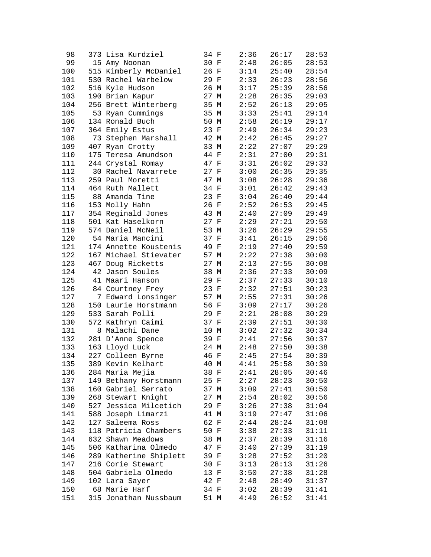| 98  | 373 Lisa Kurdziel      | 34 F   | 2:36 | 26:17 | 28:53 |
|-----|------------------------|--------|------|-------|-------|
| 99  | 15 Amy Noonan          | 30 F   | 2:48 | 26:05 | 28:53 |
| 100 | 515 Kimberly McDaniel  | 26 F   | 3:14 | 25:40 | 28:54 |
| 101 | 530 Rachel Warbelow    | 29 F   | 2:33 | 26:23 | 28:56 |
| 102 | 516 Kyle Hudson        | 26 M   | 3:17 | 25:39 | 28:56 |
| 103 | 190 Brian Kapur        | 27 M   | 2:28 | 26:35 | 29:03 |
| 104 | 256 Brett Winterberg   | 35 M   | 2:52 | 26:13 | 29:05 |
| 105 | 53 Ryan Cummings       | 35 M   | 3:33 | 25:41 | 29:14 |
| 106 | 134 Ronald Buch        | 50 M   | 2:58 | 26:19 | 29:17 |
| 107 | 364 Emily Estus        | 23 F   | 2:49 | 26:34 | 29:23 |
| 108 | 73 Stephen Marshall    | 42 M   | 2:42 | 26:45 | 29:27 |
| 109 | 407 Ryan Crotty        | 33 M   | 2:22 | 27:07 | 29:29 |
| 110 | 175 Teresa Amundson    | 44 F   | 2:31 | 27:00 | 29:31 |
| 111 | 244 Crystal Romay      | 47 F   | 3:31 | 26:02 | 29:33 |
| 112 | 30 Rachel Navarrete    | $27 F$ | 3:00 | 26:35 | 29:35 |
| 113 | 259 Paul Moretti       | 47 M   | 3:08 | 26:28 | 29:36 |
| 114 | 464 Ruth Mallett       | 34 F   | 3:01 | 26:42 | 29:43 |
| 115 | 88 Amanda Tine         | 23 F   | 3:04 | 26:40 | 29:44 |
|     |                        |        |      |       | 29:45 |
| 116 | 153 Molly Hahn         | 26 F   | 2:52 | 26:53 |       |
| 117 | 354 Reginald Jones     | 43 M   | 2:40 | 27:09 | 29:49 |
| 118 | 501 Kat Haselkorn      | 27 F   | 2:29 | 27:21 | 29:50 |
| 119 | 574 Daniel McNeil      | 53 M   | 3:26 | 26:29 | 29:55 |
| 120 | 54 Maria Mancini       | 37 F   | 3:41 | 26:15 | 29:56 |
| 121 | 174 Annette Koustenis  | 49 F   | 2:19 | 27:40 | 29:59 |
| 122 | 167 Michael Stievater  | 57 M   | 2:22 | 27:38 | 30:00 |
| 123 | 467 Doug Ricketts      | 27 M   | 2:13 | 27:55 | 30:08 |
| 124 | 42 Jason Soules        | 38 M   | 2:36 | 27:33 | 30:09 |
| 125 | 41 Maari Hanson        | 29 F   | 2:37 | 27:33 | 30:10 |
| 126 | 84 Courtney Frey       | 23 F   | 2:32 | 27:51 | 30:23 |
| 127 | 7 Edward Lonsinger     | 57 M   | 2:55 | 27:31 | 30:26 |
| 128 | 150 Laurie Horstmann   | 56 F   | 3:09 | 27:17 | 30:26 |
| 129 | 533 Sarah Polli        | 29 F   | 2:21 | 28:08 | 30:29 |
| 130 | 572 Kathryn Caimi      | 37 F   | 2:39 | 27:51 | 30:30 |
| 131 | 8 Malachi Dane         | 10 M   | 3:02 | 27:32 | 30:34 |
| 132 | 281 D'Anne Spence      | 39 F   | 2:41 | 27:56 | 30:37 |
| 133 | 163 Lloyd Luck         | 24 M   | 2:48 | 27:50 | 30:38 |
| 134 | 227 Colleen Byrne      | 46 F   | 2:45 | 27:54 | 30:39 |
| 135 | 389 Kevin Kelhart      | 40 M   | 4:41 | 25:58 | 30:39 |
| 136 | 284 Maria Mejia        | 38 F   | 2:41 | 28:05 | 30:46 |
| 137 | 149 Bethany Horstmann  | 25 F   | 2:27 | 28:23 | 30:50 |
| 138 | 160 Gabriel Serrato    | 37 M   | 3:09 | 27:41 | 30:50 |
| 139 | 268 Stewart Knight     | 27 M   | 2:54 | 28:02 | 30:56 |
| 140 | 527 Jessica Milcetich  | 29 F   | 3:26 | 27:38 | 31:04 |
| 141 | 588 Joseph Limarzi     | 41 M   | 3:19 | 27:47 | 31:06 |
| 142 | 127 Saleema Ross       | 62 F   | 2:44 | 28:24 | 31:08 |
| 143 | 118 Patricia Chambers  | 50 F   | 3:38 | 27:33 | 31:11 |
| 144 | 632 Shawn Meadows      | 38 M   | 2:37 | 28:39 | 31:16 |
| 145 | 506 Katharina Olmedo   | 47 F   | 3:40 | 27:39 | 31:19 |
| 146 | 289 Katherine Shiplett | 39 F   | 3:28 | 27:52 | 31:20 |
| 147 | 216 Corie Stewart      | 30 F   | 3:13 | 28:13 | 31:26 |
| 148 | 504 Gabriela Olmedo    | 13 F   | 3:50 | 27:38 | 31:28 |
|     |                        | 42 F   |      |       |       |
| 149 | 102 Lara Sayer         |        | 2:48 | 28:49 | 31:37 |
| 150 | 68 Marie Harf          | 34 F   | 3:02 | 28:39 | 31:41 |
| 151 | 315 Jonathan Nussbaum  | 51 M   | 4:49 | 26:52 | 31:41 |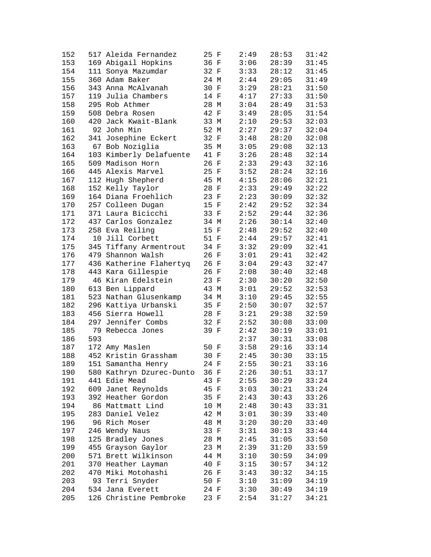| 152 |     | 517 Aleida Fernandez     | 25 F | 2:49 | 28:53 | 31:42 |
|-----|-----|--------------------------|------|------|-------|-------|
| 153 |     | 169 Abigail Hopkins      | 36 F | 3:06 | 28:39 | 31:45 |
| 154 |     | 111 Sonya Mazumdar       | 32 F | 3:33 | 28:12 | 31:45 |
| 155 |     | 360 Adam Baker           | 24 M | 2:44 | 29:05 | 31:49 |
| 156 |     | 343 Anna McAlvanah       | 30 F | 3:29 | 28:21 | 31:50 |
| 157 |     | 119 Julia Chambers       | 14 F | 4:17 | 27:33 | 31:50 |
| 158 |     | 295 Rob Athmer           | 28 M | 3:04 | 28:49 | 31:53 |
| 159 |     | 508 Debra Rosen          | 42 F | 3:49 | 28:05 | 31:54 |
| 160 |     | 420 Jack Kwait-Blank     | 33 M | 2:10 | 29:53 | 32:03 |
| 161 |     | 92 John Min              | 52 M | 2:27 | 29:37 | 32:04 |
| 162 |     | 341 Josephine Eckert     | 32 F | 3:48 | 28:20 | 32:08 |
| 163 |     | 67 Bob Noziglia          | 35 M | 3:05 | 29:08 | 32:13 |
| 164 |     | 103 Kimberly Delafuente  | 41 F | 3:26 | 28:48 | 32:14 |
| 165 |     | 509 Madison Horn         | 26 F | 2:33 | 29:43 | 32:16 |
| 166 |     | 445 Alexis Marvel        | 25 F | 3:52 | 28:24 | 32:16 |
| 167 |     | 112 Hugh Shepherd        | 45 M | 4:15 | 28:06 | 32:21 |
| 168 |     | 152 Kelly Taylor         | 28 F | 2:33 | 29:49 | 32:22 |
| 169 |     | 164 Diana Froehlich      | 23 F | 2:23 | 30:09 | 32:32 |
| 170 |     |                          | 15 F | 2:42 | 29:52 | 32:34 |
|     |     | 257 Colleen Dugan        |      |      |       |       |
| 171 |     | 371 Laura Bicicchi       | 33 F | 2:52 | 29:44 | 32:36 |
| 172 |     | 437 Carlos Gonzalez      | 34 M | 2:26 | 30:14 | 32:40 |
| 173 |     | 258 Eva Reiling          | 15 F | 2:48 | 29:52 | 32:40 |
| 174 |     | 10 Jill Corbett          | 51 F | 2:44 | 29:57 | 32:41 |
| 175 |     | 345 Tiffany Armentrout   | 34 F | 3:32 | 29:09 | 32:41 |
| 176 |     | 479 Shannon Walsh        | 26 F | 3:01 | 29:41 | 32:42 |
| 177 |     | 436 Katherine Flahertyq  | 26 F | 3:04 | 29:43 | 32:47 |
| 178 |     | 443 Kara Gillespie       | 26 F | 2:08 | 30:40 | 32:48 |
| 179 |     | 46 Kiran Edelstein       | 23 F | 2:30 | 30:20 | 32:50 |
| 180 |     | 613 Ben Lippard          | 43 M | 3:01 | 29:52 | 32:53 |
| 181 |     | 523 Nathan Glusenkamp    | 34 M | 3:10 | 29:45 | 32:55 |
| 182 |     | 296 Kattiya Urbanski     | 35 F | 2:50 | 30:07 | 32:57 |
| 183 |     | 456 Sierra Howell        | 28 F | 3:21 | 29:38 | 32:59 |
| 184 |     | 297 Jennifer Combs       | 32 F | 2:52 | 30:08 | 33:00 |
| 185 |     | 79 Rebecca Jones         | 39 F | 2:42 | 30:19 | 33:01 |
| 186 | 593 |                          |      | 2:37 | 30:31 | 33:08 |
| 187 |     | 172 Amy Maslen           | 50 F | 3:58 | 29:16 | 33:14 |
| 188 |     | 452 Kristin Grassham     | 30 F | 2:45 | 30:30 | 33:15 |
| 189 |     | 151 Samantha Henry       | 24 F | 2:55 | 30:21 | 33:16 |
| 190 |     | 580 Kathryn Dzurec-Dunto | 36 F | 2:26 | 30:51 | 33:17 |
| 191 |     | 441 Edie Mead            | 43 F | 2:55 | 30:29 | 33:24 |
| 192 |     | 609 Janet Reynolds       | 45 F | 3:03 | 30:21 | 33:24 |
| 193 |     | 392 Heather Gordon       | 35 F | 2:43 | 30:43 | 33:26 |
| 194 |     | 86 Mattmatt Lind         | 10 M | 2:48 | 30:43 | 33:31 |
| 195 |     | 283 Daniel Velez         | 42 M | 3:01 | 30:39 | 33:40 |
| 196 |     | 96 Rich Moser            | 48 M | 3:20 | 30:20 | 33:40 |
| 197 |     | 246 Wendy Naus           | 33 F | 3:31 | 30:13 | 33:44 |
| 198 |     | 125 Bradley Jones        | 28 M | 2:45 | 31:05 | 33:50 |
| 199 |     | 455 Grayson Gaylor       | 23 M | 2:39 | 31:20 | 33:59 |
| 200 |     | 571 Brett Wilkinson      | 44 M | 3:10 | 30:59 | 34:09 |
| 201 |     | 370 Heather Layman       | 40 F | 3:15 | 30:57 | 34:12 |
| 202 |     | 470 Miki Motohashi       | 26 F | 3:43 | 30:32 | 34:15 |
| 203 |     | 93 Terri Snyder          | 50 F | 3:10 | 31:09 | 34:19 |
| 204 |     | 534 Jana Everett         | 24 F | 3:30 | 30:49 | 34:19 |
| 205 |     | 126 Christine Pembroke   | 23 F | 2:54 | 31:27 | 34:21 |
|     |     |                          |      |      |       |       |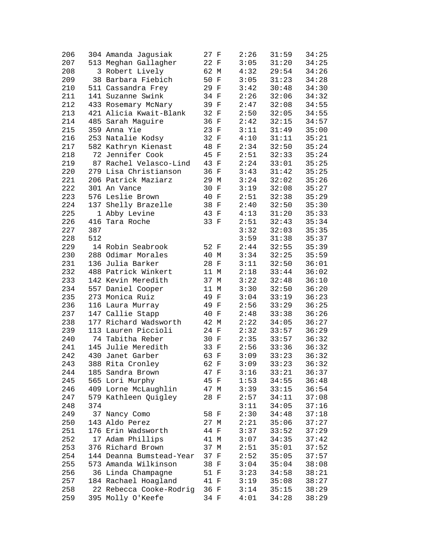| 206 |     | 304 Amanda Jagusiak      | 27 F | 2:26 | 31:59 | 34:25 |
|-----|-----|--------------------------|------|------|-------|-------|
| 207 |     | 513 Meghan Gallagher     | 22 F | 3:05 | 31:20 | 34:25 |
| 208 |     | 3 Robert Lively          | 62 M | 4:32 | 29:54 | 34:26 |
| 209 |     | 38 Barbara Fiebich       | 50 F | 3:05 | 31:23 | 34:28 |
| 210 |     | 511 Cassandra Frey       | 29 F | 3:42 | 30:48 | 34:30 |
| 211 |     | 141 Suzanne Swink        | 34 F | 2:26 | 32:06 | 34:32 |
| 212 |     | 433 Rosemary McNary      | 39 F | 2:47 | 32:08 | 34:55 |
| 213 |     | 421 Alicia Kwait-Blank   | 32 F | 2:50 | 32:05 | 34:55 |
| 214 |     | 485 Sarah Maguire        | 36 F | 2:42 | 32:15 | 34:57 |
| 215 |     | 359 Anna Yie             | 23 F | 3:11 | 31:49 | 35:00 |
| 216 |     | 253 Natalie Kodsy        | 32 F | 4:10 | 31:11 | 35:21 |
| 217 |     | 582 Kathryn Kienast      | 48 F | 2:34 | 32:50 | 35:24 |
| 218 |     | 72 Jennifer Cook         | 45 F | 2:51 | 32:33 | 35:24 |
| 219 |     | 87 Rachel Velasco-Lind   | 43 F | 2:24 | 33:01 | 35:25 |
| 220 |     | 279 Lisa Christianson    | 36 F | 3:43 | 31:42 | 35:25 |
| 221 |     | 206 Patrick Maziarz      | 29 M | 3:24 | 32:02 | 35:26 |
| 222 |     | 301 An Vance             | 30 F | 3:19 | 32:08 | 35:27 |
| 223 |     | 576 Leslie Brown         | 40 F | 2:51 | 32:38 | 35:29 |
|     |     |                          |      |      |       |       |
| 224 |     | 137 Shelly Brazelle      | 38 F | 2:40 | 32:50 | 35:30 |
| 225 |     | 1 Abby Levine            | 43 F | 4:13 | 31:20 | 35:33 |
| 226 |     | 416 Tara Roche           | 33 F | 2:51 | 32:43 | 35:34 |
| 227 | 387 |                          |      | 3:32 | 32:03 | 35:35 |
| 228 | 512 |                          |      | 3:59 | 31:38 | 35:37 |
| 229 |     | 14 Robin Seabrook        | 52 F | 2:44 | 32:55 | 35:39 |
| 230 |     | 288 Odimar Morales       | 40 M | 3:34 | 32:25 | 35:59 |
| 231 |     | 136 Julia Barker         | 28 F | 3:11 | 32:50 | 36:01 |
| 232 |     | 488 Patrick Winkert      | 11 M | 2:18 | 33:44 | 36:02 |
| 233 |     | 142 Kevin Meredith       | 37 M | 3:22 | 32:48 | 36:10 |
| 234 |     | 557 Daniel Cooper        | 11 M | 3:30 | 32:50 | 36:20 |
| 235 |     | 273 Monica Ruiz          | 49 F | 3:04 | 33:19 | 36:23 |
| 236 |     | 116 Laura Murray         | 49 F | 2:56 | 33:29 | 36:25 |
| 237 |     | 147 Callie Stapp         | 40 F | 2:48 | 33:38 | 36:26 |
| 238 |     | 177 Richard Wadsworth    | 42 M | 2:22 | 34:05 | 36:27 |
| 239 |     | 113 Lauren Piccioli      | 24 F | 2:32 | 33:57 | 36:29 |
| 240 |     | 74 Tabitha Reber         | 30 F | 2:35 | 33:57 | 36:32 |
| 241 |     | 145 Julie Meredith       | 33 F | 2:56 | 33:36 | 36:32 |
| 242 |     | 430 Janet Garber         | 63 F | 3:09 | 33:23 | 36:32 |
| 243 |     | 388 Rita Cronley         | 62 F | 3:09 | 33:23 | 36:32 |
| 244 |     | 185 Sandra Brown         | 47 F | 3:16 | 33:21 | 36:37 |
| 245 |     | 565 Lori Murphy          | 45 F | 1:53 | 34:55 | 36:48 |
| 246 |     | 409 Lorne McLaughlin     | 47 M | 3:39 | 33:15 | 36:54 |
| 247 |     | 579 Kathleen Quigley     | 28 F | 2:57 | 34:11 | 37:08 |
| 248 | 374 |                          |      | 3:11 | 34:05 | 37:16 |
| 249 |     | 37 Nancy Como            | 58 F | 2:30 | 34:48 | 37:18 |
| 250 |     | 143 Aldo Perez           | 27 M | 2:21 | 35:06 | 37:27 |
| 251 |     | 176 Erin Wadsworth       | 44 F | 3:37 | 33:52 | 37:29 |
| 252 |     | 17 Adam Phillips         | 41 M | 3:07 | 34:35 | 37:42 |
|     |     | 376 Richard Brown        |      |      | 35:01 |       |
| 253 |     |                          | 37 M | 2:51 |       | 37:52 |
| 254 |     | 144 Deanna Bumstead-Year | 37 F | 2:52 | 35:05 | 37:57 |
| 255 |     | 573 Amanda Wilkinson     | 38 F | 3:04 | 35:04 | 38:08 |
| 256 |     | 36 Linda Champagne       | 51 F | 3:23 | 34:58 | 38:21 |
| 257 |     | 184 Rachael Hoagland     | 41 F | 3:19 | 35:08 | 38:27 |
| 258 |     | 22 Rebecca Cooke-Rodrig  | 36 F | 3:14 | 35:15 | 38:29 |
| 259 |     | 395 Molly O'Keefe        | 34 F | 4:01 | 34:28 | 38:29 |